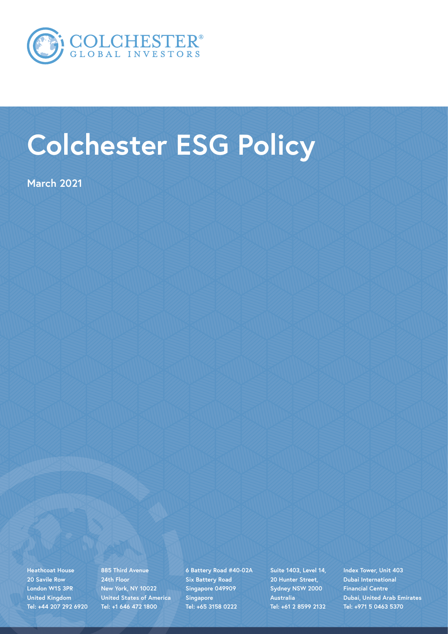

# **Colchester ESG Policy**

**March 2021**

**Heathcoat House 20 Savile Row London W1S 3PR United Kingdom Tel: +44 207 292 6920** **885 Third Avenue 24th Floor New York, NY 10022 United States of America Tel: +1 646 472 1800**

**6 Battery Road #40-02A Six Battery Road Singapore 049909 Singapore Tel: +65 3158 0222**

**Suite 1403, Level 14, 20 Hunter Street, Sydney NSW 2000 Australia Tel: +61 2 8599 2132**

**Index Tower, Unit 403 Dubai International Financial Centre Dubai, United Arab Emirates Tel: +971 5 0463 5370**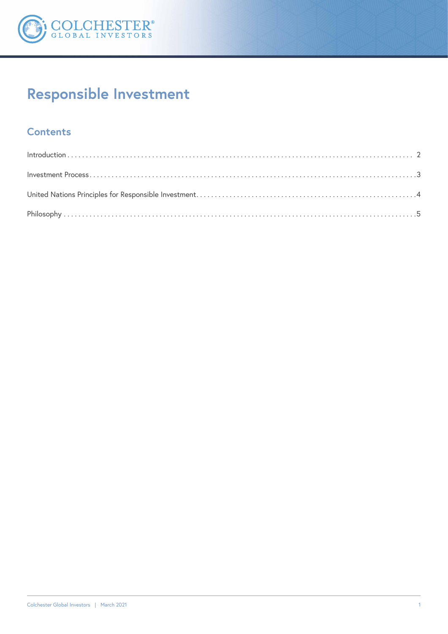

## Responsible Investment

## **Contents**

| $Introduction \dots 2$ |  |
|------------------------|--|
|                        |  |
|                        |  |
|                        |  |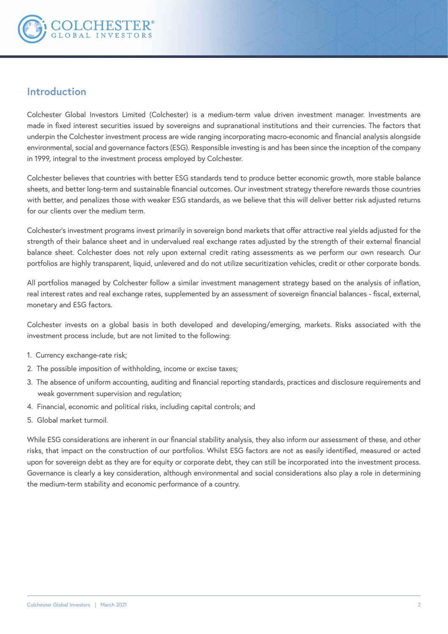

## **Introduction**

Colchester Global Investors Limited (Colchester) is a medium-term value driven investment manager. Investments are made in fixed interest securities issued by sovereigns and supranational institutions and their currencies. The factors that underpin the Colchester investment process are wide ranging incorporating macro-economic and financial analysis alongside environmental, social and governance factors (ESG). Responsible investing is and has been since the inception of the company in 1999, integral to the investment process employed by Colchester.

Colchester believes that countries with better ESG standards tend to produce better economic growth, more stable balance sheets, and better long-term and sustainable financial outcomes. Our investment strategy therefore rewards those countries with better, and penalizes those with weaker ESG standards, as we believe that this will deliver better risk adjusted returns for our clients over the medium term.

Colchester's investment programs invest primarily in sovereign bond markets that offer attractive real yields adjusted for the strength of their balance sheet and in undervalued real exchange rates adjusted by the strength of their external financial balance sheet. Colchester does not rely upon external credit rating assessments as we perform our own research. Our portfolios are highly transparent, liquid, unlevered and do not utilize securitization vehicles, credit or other corporate bonds.

All portfolios managed by Colchester follow a similar investment management strategy based on the analysis of inflation, real interest rates and real exchange rates, supplemented by an assessment of sovereign financial balances - fiscal, external, monetary and ESG factors.

Colchester invests on a global basis in both developed and developing/emerging, markets. Risks associated with the investment process include, but are not limited to the following:

- 1. Currency exchange-rate risk;
- 2. The possible imposition of withholding, income or excise taxes;
- 3. The absence of uniform accounting, auditing and financial reporting standards, practices and disclosure requirements and weak government supervision and regulation;
- 4. Financial, economic and political risks, including capital controls; and
- 5. Global market turmoil.

While ESG considerations are inherent in our financial stability analysis, they also inform our assessment of these, and other risks, that impact on the construction of our portfolios. Whilst ESG factors are not as easily identified, measured or acted upon for sovereign debt as they are for equity or corporate debt, they can still be incorporated into the investment process. Governance is clearly a key consideration, although environmental and social considerations also play a role in determining the medium-term stability and economic performance of a country.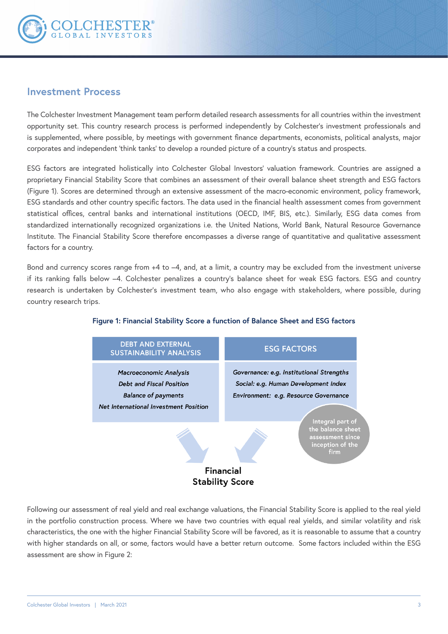

## **Investment Process**

The Colchester Investment Management team perform detailed research assessments for all countries within the investment opportunity set. This country research process is performed independently by Colchester's investment professionals and is supplemented, where possible, by meetings with government finance departments, economists, political analysts, major corporates and independent 'think tanks' to develop a rounded picture of a country's status and prospects.

ESG factors are integrated holistically into Colchester Global Investors' valuation framework. Countries are assigned a proprietary Financial Stability Score that combines an assessment of their overall balance sheet strength and ESG factors (Figure 1). Scores are determined through an extensive assessment of the macro-economic environment, policy framework, ESG standards and other country specific factors. The data used in the financial health assessment comes from government statistical offices, central banks and international institutions (OECD, IMF, BIS, etc.). Similarly, ESG data comes from standardized internationally recognized organizations i.e. the United Nations, World Bank, Natural Resource Governance Institute. The Financial Stability Score therefore encompasses a diverse range of quantitative and qualitative assessment factors for a country.

Bond and currency scores range from +4 to –4, and, at a limit, a country may be excluded from the investment universe if its ranking falls below –4. Colchester penalizes a country's balance sheet for weak ESG factors. ESG and country research is undertaken by Colchester's investment team, who also engage with stakeholders, where possible, during country research trips.



#### **Figure 1: Financial Stability Score a function of Balance Sheet and ESG factors**

Following our assessment of real yield and real exchange valuations, the Financial Stability Score is applied to the real yield in the portfolio construction process. Where we have two countries with equal real yields, and similar volatility and risk characteristics, the one with the higher Financial Stability Score will be favored, as it is reasonable to assume that a country with higher standards on all, or some, factors would have a better return outcome. Some factors included within the ESG assessment are show in Figure 2: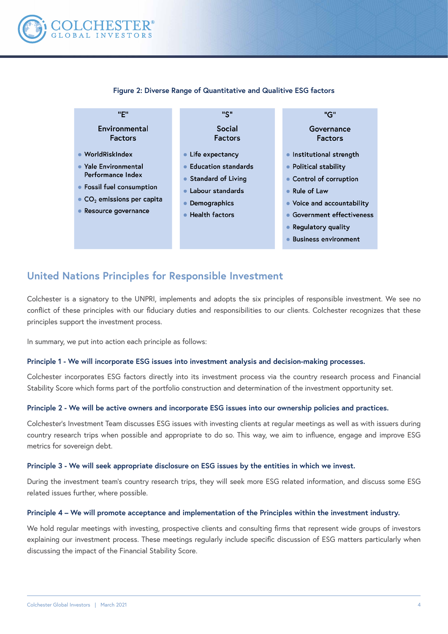

| "F"                                            | "S"                                | "G"                             |
|------------------------------------------------|------------------------------------|---------------------------------|
| Environmental<br><b>Factors</b>                | Social<br><b>Factors</b>           | Governance<br><b>Factors</b>    |
| $\bullet$ WorldRiskIndex                       | • Life expectancy                  | Institutional strength          |
| • Yale Environmental                           | • Education standards              | • Political stability           |
| Performance Index                              | • Standard of Living               | • Control of corruption         |
| • Fossil fuel consumption                      | Labour standards<br>$\bullet$      | • Rule of Law                   |
| $\bullet$ CO <sub>2</sub> emissions per capita | Demographics                       | • Voice and accountability      |
| Resource governance                            | <b>Health factors</b><br>$\bullet$ | <b>Government effectiveness</b> |
|                                                |                                    | • Regulatory quality            |
|                                                |                                    | <b>Business environment</b>     |
|                                                |                                    |                                 |

#### **Figure 2: Diverse Range of Quantitative and Qualitive ESG factors**

## **United Nations Principles for Responsible Investment**

Colchester is a signatory to the UNPRI, implements and adopts the six principles of responsible investment. We see no conflict of these principles with our fiduciary duties and responsibilities to our clients. Colchester recognizes that these principles support the investment process.

In summary, we put into action each principle as follows:

#### **Principle 1 - We will incorporate ESG issues into investment analysis and decision-making processes.**

Colchester incorporates ESG factors directly into its investment process via the country research process and Financial Stability Score which forms part of the portfolio construction and determination of the investment opportunity set.

#### **Principle 2 - We will be active owners and incorporate ESG issues into our ownership policies and practices.**

Colchester's Investment Team discusses ESG issues with investing clients at regular meetings as well as with issuers during country research trips when possible and appropriate to do so. This way, we aim to influence, engage and improve ESG metrics for sovereign debt.

#### **Principle 3 - We will seek appropriate disclosure on ESG issues by the entities in which we invest.**

During the investment team's country research trips, they will seek more ESG related information, and discuss some ESG related issues further, where possible.

#### **Principle 4 – We will promote acceptance and implementation of the Principles within the investment industry.**

We hold regular meetings with investing, prospective clients and consulting firms that represent wide groups of investors explaining our investment process. These meetings regularly include specific discussion of ESG matters particularly when discussing the impact of the Financial Stability Score.